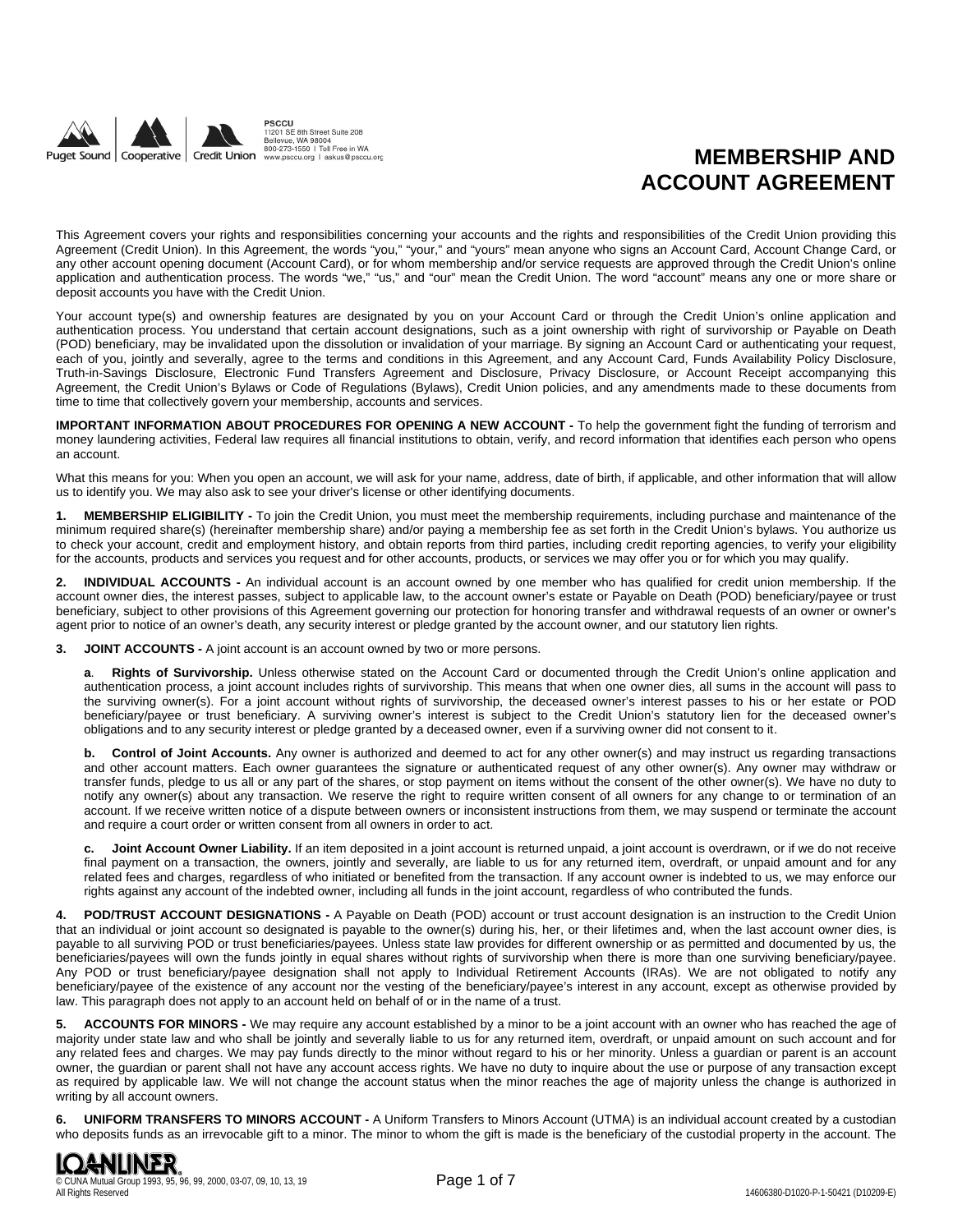

# **MEMBERSHIP AND ACCOUNT AGREEMENT**

This Agreement covers your rights and responsibilities concerning your accounts and the rights and responsibilities of the Credit Union providing this Agreement (Credit Union). In this Agreement, the words "you," "your," and "yours" mean anyone who signs an Account Card, Account Change Card, or any other account opening document (Account Card), or for whom membership and/or service requests are approved through the Credit Union's online application and authentication process. The words "we," "us," and "our" mean the Credit Union. The word "account" means any one or more share or deposit accounts you have with the Credit Union.

Your account type(s) and ownership features are designated by you on your Account Card or through the Credit Union's online application and authentication process. You understand that certain account designations, such as a joint ownership with right of survivorship or Payable on Death (POD) beneficiary, may be invalidated upon the dissolution or invalidation of your marriage. By signing an Account Card or authenticating your request, each of you, jointly and severally, agree to the terms and conditions in this Agreement, and any Account Card, Funds Availability Policy Disclosure, Truth-in-Savings Disclosure, Electronic Fund Transfers Agreement and Disclosure, Privacy Disclosure, or Account Receipt accompanying this Agreement, the Credit Union's Bylaws or Code of Regulations (Bylaws), Credit Union policies, and any amendments made to these documents from time to time that collectively govern your membership, accounts and services.

**IMPORTANT INFORMATION ABOUT PROCEDURES FOR OPENING A NEW ACCOUNT -** To help the government fight the funding of terrorism and money laundering activities, Federal law requires all financial institutions to obtain, verify, and record information that identifies each person who opens an account.

What this means for you: When you open an account, we will ask for your name, address, date of birth, if applicable, and other information that will allow us to identify you. We may also ask to see your driver's license or other identifying documents.

**1. MEMBERSHIP ELIGIBILITY -** To join the Credit Union, you must meet the membership requirements, including purchase and maintenance of the minimum required share(s) (hereinafter membership share) and/or paying a membership fee as set forth in the Credit Union's bylaws. You authorize us to check your account, credit and employment history, and obtain reports from third parties, including credit reporting agencies, to verify your eligibility for the accounts, products and services you request and for other accounts, products, or services we may offer you or for which you may qualify.

**2. INDIVIDUAL ACCOUNTS -** An individual account is an account owned by one member who has qualified for credit union membership. If the account owner dies, the interest passes, subject to applicable law, to the account owner's estate or Payable on Death (POD) beneficiary/payee or trust beneficiary, subject to other provisions of this Agreement governing our protection for honoring transfer and withdrawal requests of an owner or owner's agent prior to notice of an owner's death, any security interest or pledge granted by the account owner, and our statutory lien rights.

**3. JOINT ACCOUNTS -** A joint account is an account owned by two or more persons.

**a**. **Rights of Survivorship.** Unless otherwise stated on the Account Card or documented through the Credit Union's online application and authentication process, a joint account includes rights of survivorship. This means that when one owner dies, all sums in the account will pass to the surviving owner(s). For a joint account without rights of survivorship, the deceased owner's interest passes to his or her estate or POD beneficiary/payee or trust beneficiary. A surviving owner's interest is subject to the Credit Union's statutory lien for the deceased owner's obligations and to any security interest or pledge granted by a deceased owner, even if a surviving owner did not consent to it.

**b. Control of Joint Accounts.** Any owner is authorized and deemed to act for any other owner(s) and may instruct us regarding transactions and other account matters. Each owner guarantees the signature or authenticated request of any other owner(s). Any owner may withdraw or transfer funds, pledge to us all or any part of the shares, or stop payment on items without the consent of the other owner(s). We have no duty to notify any owner(s) about any transaction. We reserve the right to require written consent of all owners for any change to or termination of an account. If we receive written notice of a dispute between owners or inconsistent instructions from them, we may suspend or terminate the account and require a court order or written consent from all owners in order to act.

**c. Joint Account Owner Liability.** If an item deposited in a joint account is returned unpaid, a joint account is overdrawn, or if we do not receive final payment on a transaction, the owners, jointly and severally, are liable to us for any returned item, overdraft, or unpaid amount and for any related fees and charges, regardless of who initiated or benefited from the transaction. If any account owner is indebted to us, we may enforce our rights against any account of the indebted owner, including all funds in the joint account, regardless of who contributed the funds.

**4. POD/TRUST ACCOUNT DESIGNATIONS -** A Payable on Death (POD) account or trust account designation is an instruction to the Credit Union that an individual or joint account so designated is payable to the owner(s) during his, her, or their lifetimes and, when the last account owner dies, is payable to all surviving POD or trust beneficiaries/payees. Unless state law provides for different ownership or as permitted and documented by us, the beneficiaries/payees will own the funds jointly in equal shares without rights of survivorship when there is more than one surviving beneficiary/payee. Any POD or trust beneficiary/payee designation shall not apply to Individual Retirement Accounts (IRAs). We are not obligated to notify any beneficiary/payee of the existence of any account nor the vesting of the beneficiary/payee's interest in any account, except as otherwise provided by law. This paragraph does not apply to an account held on behalf of or in the name of a trust.

**5. ACCOUNTS FOR MINORS -** We may require any account established by a minor to be a joint account with an owner who has reached the age of majority under state law and who shall be jointly and severally liable to us for any returned item, overdraft, or unpaid amount on such account and for any related fees and charges. We may pay funds directly to the minor without regard to his or her minority. Unless a guardian or parent is an account owner, the guardian or parent shall not have any account access rights. We have no duty to inquire about the use or purpose of any transaction except as required by applicable law. We will not change the account status when the minor reaches the age of majority unless the change is authorized in writing by all account owners.

**6. UNIFORM TRANSFERS TO MINORS ACCOUNT -** A Uniform Transfers to Minors Account (UTMA) is an individual account created by a custodian who deposits funds as an irrevocable gift to a minor. The minor to whom the gift is made is the beneficiary of the custodial property in the account. The

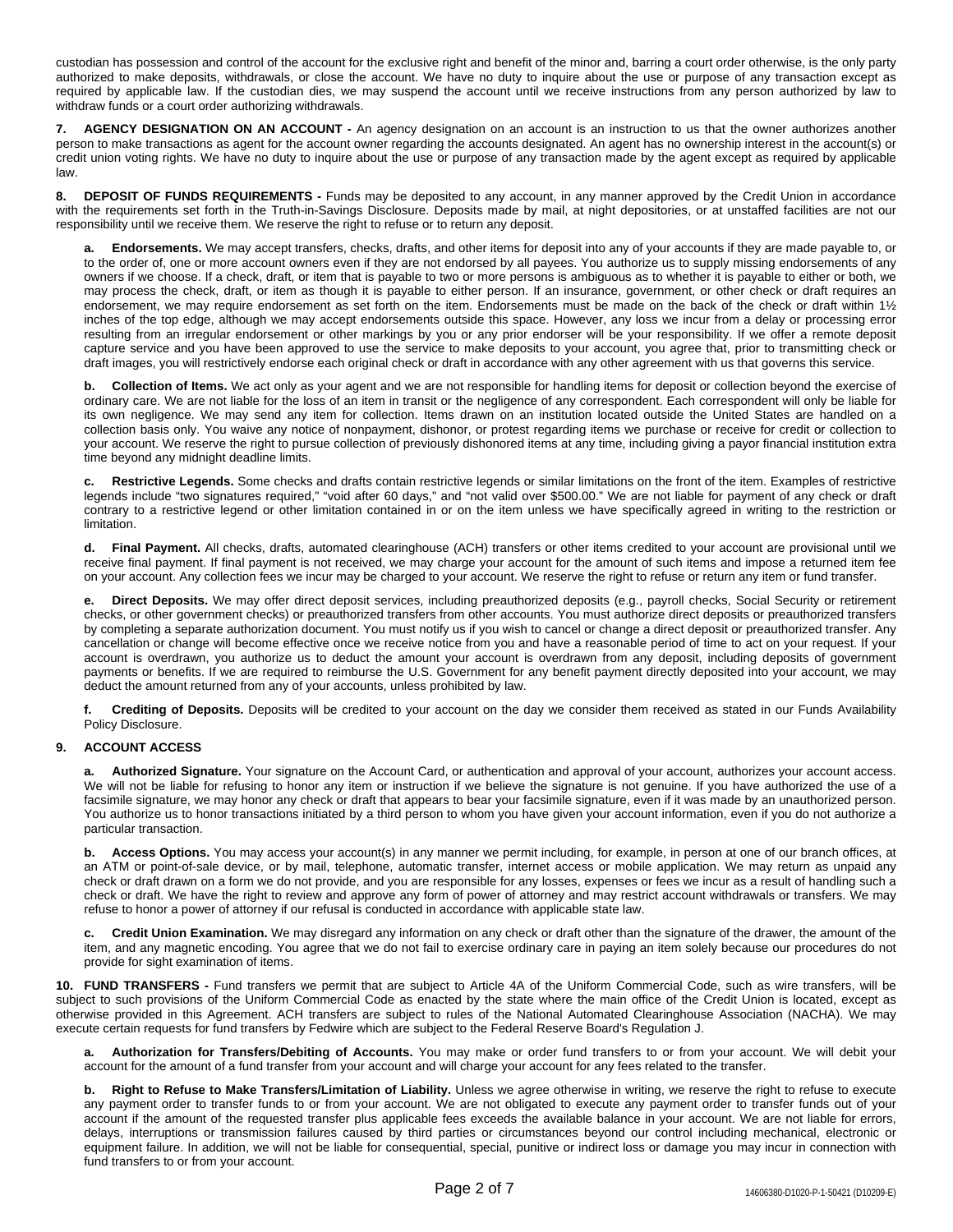custodian has possession and control of the account for the exclusive right and benefit of the minor and, barring a court order otherwise, is the only party authorized to make deposits, withdrawals, or close the account. We have no duty to inquire about the use or purpose of any transaction except as required by applicable law. If the custodian dies, we may suspend the account until we receive instructions from any person authorized by law to withdraw funds or a court order authorizing withdrawals.

**7. AGENCY DESIGNATION ON AN ACCOUNT -** An agency designation on an account is an instruction to us that the owner authorizes another person to make transactions as agent for the account owner regarding the accounts designated. An agent has no ownership interest in the account(s) or credit union voting rights. We have no duty to inquire about the use or purpose of any transaction made by the agent except as required by applicable law.

**8. DEPOSIT OF FUNDS REQUIREMENTS -** Funds may be deposited to any account, in any manner approved by the Credit Union in accordance with the requirements set forth in the Truth-in-Savings Disclosure. Deposits made by mail, at night depositories, or at unstaffed facilities are not our responsibility until we receive them. We reserve the right to refuse or to return any deposit.

**a. Endorsements.** We may accept transfers, checks, drafts, and other items for deposit into any of your accounts if they are made payable to, or to the order of, one or more account owners even if they are not endorsed by all payees. You authorize us to supply missing endorsements of any owners if we choose. If a check, draft, or item that is payable to two or more persons is ambiguous as to whether it is payable to either or both, we may process the check, draft, or item as though it is payable to either person. If an insurance, government, or other check or draft requires an endorsement, we may require endorsement as set forth on the item. Endorsements must be made on the back of the check or draft within 1½ inches of the top edge, although we may accept endorsements outside this space. However, any loss we incur from a delay or processing error resulting from an irregular endorsement or other markings by you or any prior endorser will be your responsibility. If we offer a remote deposit capture service and you have been approved to use the service to make deposits to your account, you agree that, prior to transmitting check or draft images, you will restrictively endorse each original check or draft in accordance with any other agreement with us that governs this service.

**b. Collection of Items.** We act only as your agent and we are not responsible for handling items for deposit or collection beyond the exercise of ordinary care. We are not liable for the loss of an item in transit or the negligence of any correspondent. Each correspondent will only be liable for its own negligence. We may send any item for collection. Items drawn on an institution located outside the United States are handled on a collection basis only. You waive any notice of nonpayment, dishonor, or protest regarding items we purchase or receive for credit or collection to your account. We reserve the right to pursue collection of previously dishonored items at any time, including giving a payor financial institution extra time beyond any midnight deadline limits.

**c. Restrictive Legends.** Some checks and drafts contain restrictive legends or similar limitations on the front of the item. Examples of restrictive legends include "two signatures required," "void after 60 days," and "not valid over \$500.00." We are not liable for payment of any check or draft contrary to a restrictive legend or other limitation contained in or on the item unless we have specifically agreed in writing to the restriction or limitation.

**d. Final Payment.** All checks, drafts, automated clearinghouse (ACH) transfers or other items credited to your account are provisional until we receive final payment. If final payment is not received, we may charge your account for the amount of such items and impose a returned item fee on your account. Any collection fees we incur may be charged to your account. We reserve the right to refuse or return any item or fund transfer.

**e. Direct Deposits.** We may offer direct deposit services, including preauthorized deposits (e.g., payroll checks, Social Security or retirement checks, or other government checks) or preauthorized transfers from other accounts. You must authorize direct deposits or preauthorized transfers by completing a separate authorization document. You must notify us if you wish to cancel or change a direct deposit or preauthorized transfer. Any cancellation or change will become effective once we receive notice from you and have a reasonable period of time to act on your request. If your account is overdrawn, you authorize us to deduct the amount your account is overdrawn from any deposit, including deposits of government payments or benefits. If we are required to reimburse the U.S. Government for any benefit payment directly deposited into your account, we may deduct the amount returned from any of your accounts, unless prohibited by law.

**f. Crediting of Deposits.** Deposits will be credited to your account on the day we consider them received as stated in our Funds Availability Policy Disclosure.

# **9. ACCOUNT ACCESS**

**a. Authorized Signature.** Your signature on the Account Card, or authentication and approval of your account, authorizes your account access. We will not be liable for refusing to honor any item or instruction if we believe the signature is not genuine. If you have authorized the use of a facsimile signature, we may honor any check or draft that appears to bear your facsimile signature, even if it was made by an unauthorized person. You authorize us to honor transactions initiated by a third person to whom you have given your account information, even if you do not authorize a particular transaction.

**b. Access Options.** You may access your account(s) in any manner we permit including, for example, in person at one of our branch offices, at an ATM or point-of-sale device, or by mail, telephone, automatic transfer, internet access or mobile application. We may return as unpaid any check or draft drawn on a form we do not provide, and you are responsible for any losses, expenses or fees we incur as a result of handling such a check or draft. We have the right to review and approve any form of power of attorney and may restrict account withdrawals or transfers. We may refuse to honor a power of attorney if our refusal is conducted in accordance with applicable state law.

**c. Credit Union Examination.** We may disregard any information on any check or draft other than the signature of the drawer, the amount of the item, and any magnetic encoding. You agree that we do not fail to exercise ordinary care in paying an item solely because our procedures do not provide for sight examination of items.

**10. FUND TRANSFERS -** Fund transfers we permit that are subject to Article 4A of the Uniform Commercial Code, such as wire transfers, will be subject to such provisions of the Uniform Commercial Code as enacted by the state where the main office of the Credit Union is located, except as otherwise provided in this Agreement. ACH transfers are subject to rules of the National Automated Clearinghouse Association (NACHA). We may execute certain requests for fund transfers by Fedwire which are subject to the Federal Reserve Board's Regulation J.

**a. Authorization for Transfers/Debiting of Accounts.** You may make or order fund transfers to or from your account. We will debit your account for the amount of a fund transfer from your account and will charge your account for any fees related to the transfer.

**b. Right to Refuse to Make Transfers/Limitation of Liability.** Unless we agree otherwise in writing, we reserve the right to refuse to execute any payment order to transfer funds to or from your account. We are not obligated to execute any payment order to transfer funds out of your account if the amount of the requested transfer plus applicable fees exceeds the available balance in your account. We are not liable for errors, delays, interruptions or transmission failures caused by third parties or circumstances beyond our control including mechanical, electronic or equipment failure. In addition, we will not be liable for consequential, special, punitive or indirect loss or damage you may incur in connection with fund transfers to or from your account.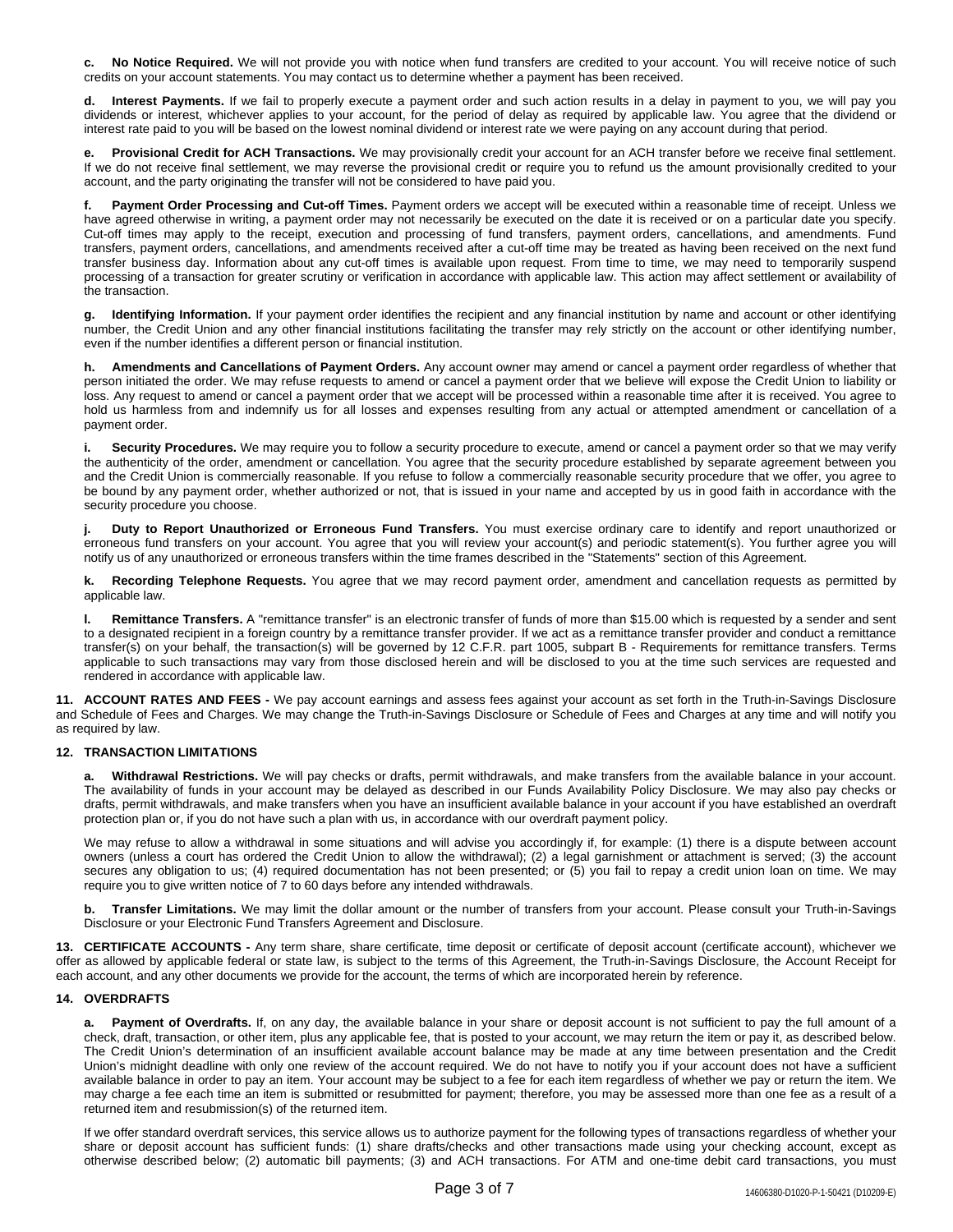**c. No Notice Required.** We will not provide you with notice when fund transfers are credited to your account. You will receive notice of such credits on your account statements. You may contact us to determine whether a payment has been received.

**d. Interest Payments.** If we fail to properly execute a payment order and such action results in a delay in payment to you, we will pay you dividends or interest, whichever applies to your account, for the period of delay as required by applicable law. You agree that the dividend or interest rate paid to you will be based on the lowest nominal dividend or interest rate we were paying on any account during that period.

**e. Provisional Credit for ACH Transactions.** We may provisionally credit your account for an ACH transfer before we receive final settlement. If we do not receive final settlement, we may reverse the provisional credit or require you to refund us the amount provisionally credited to your account, and the party originating the transfer will not be considered to have paid you.

**f. Payment Order Processing and Cut-off Times.** Payment orders we accept will be executed within a reasonable time of receipt. Unless we have agreed otherwise in writing, a payment order may not necessarily be executed on the date it is received or on a particular date you specify. Cut-off times may apply to the receipt, execution and processing of fund transfers, payment orders, cancellations, and amendments. Fund transfers, payment orders, cancellations, and amendments received after a cut-off time may be treated as having been received on the next fund transfer business day. Information about any cut-off times is available upon request. From time to time, we may need to temporarily suspend processing of a transaction for greater scrutiny or verification in accordance with applicable law. This action may affect settlement or availability of the transaction.

**g. Identifying Information.** If your payment order identifies the recipient and any financial institution by name and account or other identifying number, the Credit Union and any other financial institutions facilitating the transfer may rely strictly on the account or other identifying number, even if the number identifies a different person or financial institution.

**h. Amendments and Cancellations of Payment Orders.** Any account owner may amend or cancel a payment order regardless of whether that person initiated the order. We may refuse requests to amend or cancel a payment order that we believe will expose the Credit Union to liability or loss. Any request to amend or cancel a payment order that we accept will be processed within a reasonable time after it is received. You agree to hold us harmless from and indemnify us for all losses and expenses resulting from any actual or attempted amendment or cancellation of a payment order.

**i. Security Procedures.** We may require you to follow a security procedure to execute, amend or cancel a payment order so that we may verify the authenticity of the order, amendment or cancellation. You agree that the security procedure established by separate agreement between you and the Credit Union is commercially reasonable. If you refuse to follow a commercially reasonable security procedure that we offer, you agree to be bound by any payment order, whether authorized or not, that is issued in your name and accepted by us in good faith in accordance with the security procedure you choose.

**j. Duty to Report Unauthorized or Erroneous Fund Transfers.** You must exercise ordinary care to identify and report unauthorized or erroneous fund transfers on your account. You agree that you will review your account(s) and periodic statement(s). You further agree you will notify us of any unauthorized or erroneous transfers within the time frames described in the "Statements" section of this Agreement.

**k. Recording Telephone Requests.** You agree that we may record payment order, amendment and cancellation requests as permitted by applicable law.

**l. Remittance Transfers.** A "remittance transfer" is an electronic transfer of funds of more than \$15.00 which is requested by a sender and sent to a designated recipient in a foreign country by a remittance transfer provider. If we act as a remittance transfer provider and conduct a remittance transfer(s) on your behalf, the transaction(s) will be governed by 12 C.F.R. part 1005, subpart B - Requirements for remittance transfers. Terms applicable to such transactions may vary from those disclosed herein and will be disclosed to you at the time such services are requested and rendered in accordance with applicable law.

**11. ACCOUNT RATES AND FEES -** We pay account earnings and assess fees against your account as set forth in the Truth-in-Savings Disclosure and Schedule of Fees and Charges. We may change the Truth-in-Savings Disclosure or Schedule of Fees and Charges at any time and will notify you as required by law.

# **12. TRANSACTION LIMITATIONS**

**a. Withdrawal Restrictions.** We will pay checks or drafts, permit withdrawals, and make transfers from the available balance in your account. The availability of funds in your account may be delayed as described in our Funds Availability Policy Disclosure. We may also pay checks or drafts, permit withdrawals, and make transfers when you have an insufficient available balance in your account if you have established an overdraft protection plan or, if you do not have such a plan with us, in accordance with our overdraft payment policy.

We may refuse to allow a withdrawal in some situations and will advise you accordingly if, for example: (1) there is a dispute between account owners (unless a court has ordered the Credit Union to allow the withdrawal); (2) a legal garnishment or attachment is served; (3) the account secures any obligation to us; (4) required documentation has not been presented; or (5) you fail to repay a credit union loan on time. We may require you to give written notice of 7 to 60 days before any intended withdrawals.

**b. Transfer Limitations.** We may limit the dollar amount or the number of transfers from your account. Please consult your Truth-in-Savings Disclosure or your Electronic Fund Transfers Agreement and Disclosure.

**13. CERTIFICATE ACCOUNTS -** Any term share, share certificate, time deposit or certificate of deposit account (certificate account), whichever we offer as allowed by applicable federal or state law, is subject to the terms of this Agreement, the Truth-in-Savings Disclosure, the Account Receipt for each account, and any other documents we provide for the account, the terms of which are incorporated herein by reference.

## **14. OVERDRAFTS**

**a. Payment of Overdrafts.** If, on any day, the available balance in your share or deposit account is not sufficient to pay the full amount of a check, draft, transaction, or other item, plus any applicable fee, that is posted to your account, we may return the item or pay it, as described below. The Credit Union's determination of an insufficient available account balance may be made at any time between presentation and the Credit Union's midnight deadline with only one review of the account required. We do not have to notify you if your account does not have a sufficient available balance in order to pay an item. Your account may be subject to a fee for each item regardless of whether we pay or return the item. We may charge a fee each time an item is submitted or resubmitted for payment; therefore, you may be assessed more than one fee as a result of a returned item and resubmission(s) of the returned item.

If we offer standard overdraft services, this service allows us to authorize payment for the following types of transactions regardless of whether your share or deposit account has sufficient funds: (1) share drafts/checks and other transactions made using your checking account, except as otherwise described below; (2) automatic bill payments; (3) and ACH transactions. For ATM and one-time debit card transactions, you must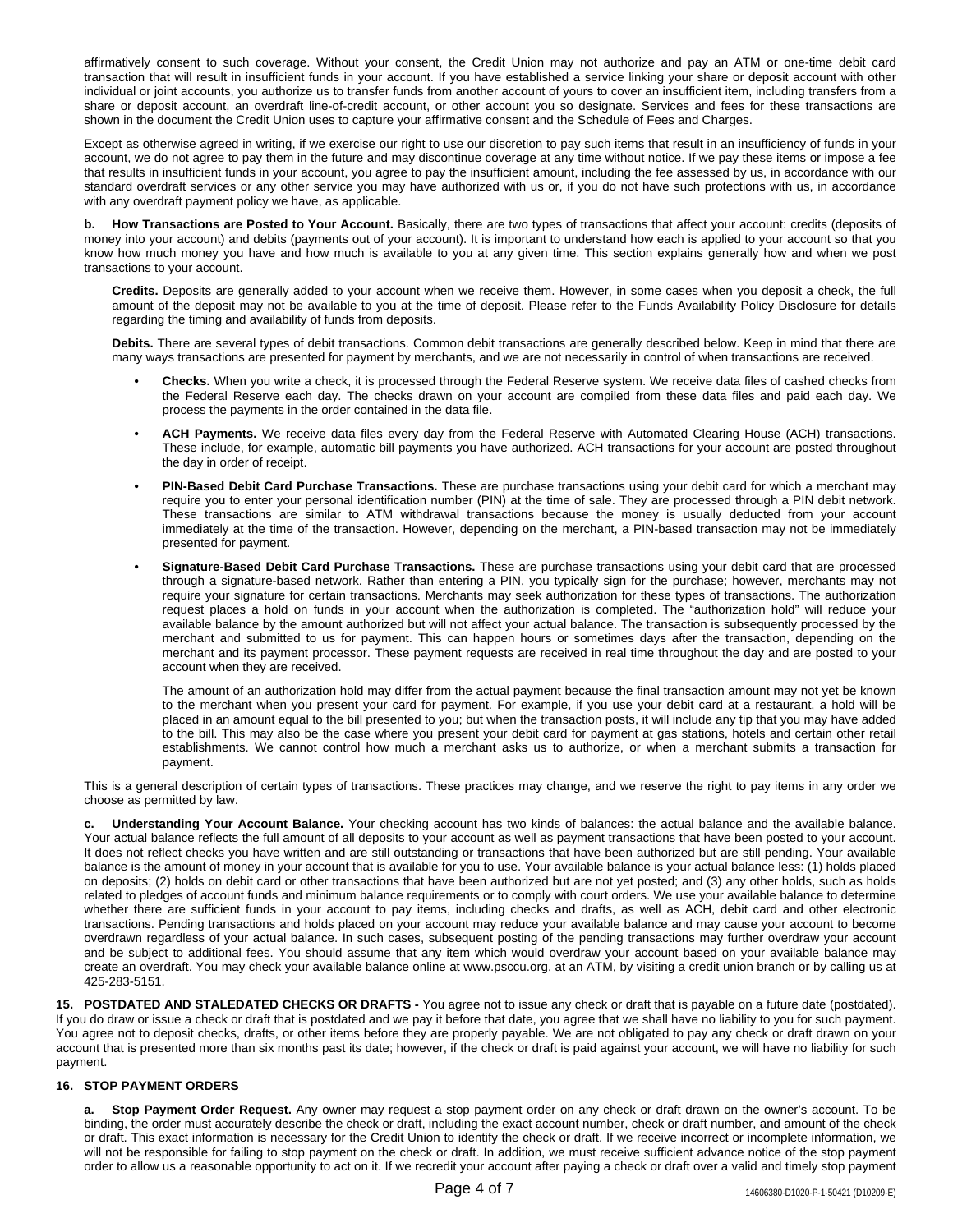affirmatively consent to such coverage. Without your consent, the Credit Union may not authorize and pay an ATM or one-time debit card transaction that will result in insufficient funds in your account. If you have established a service linking your share or deposit account with other individual or joint accounts, you authorize us to transfer funds from another account of yours to cover an insufficient item, including transfers from a share or deposit account, an overdraft line-of-credit account, or other account you so designate. Services and fees for these transactions are shown in the document the Credit Union uses to capture your affirmative consent and the Schedule of Fees and Charges.

Except as otherwise agreed in writing, if we exercise our right to use our discretion to pay such items that result in an insufficiency of funds in your account, we do not agree to pay them in the future and may discontinue coverage at any time without notice. If we pay these items or impose a fee that results in insufficient funds in your account, you agree to pay the insufficient amount, including the fee assessed by us, in accordance with our standard overdraft services or any other service you may have authorized with us or, if you do not have such protections with us, in accordance with any overdraft payment policy we have, as applicable.

**b. How Transactions are Posted to Your Account.** Basically, there are two types of transactions that affect your account: credits (deposits of money into your account) and debits (payments out of your account). It is important to understand how each is applied to your account so that you know how much money you have and how much is available to you at any given time. This section explains generally how and when we post transactions to your account.

**Credits.** Deposits are generally added to your account when we receive them. However, in some cases when you deposit a check, the full amount of the deposit may not be available to you at the time of deposit. Please refer to the Funds Availability Policy Disclosure for details regarding the timing and availability of funds from deposits.

**Debits.** There are several types of debit transactions. Common debit transactions are generally described below. Keep in mind that there are many ways transactions are presented for payment by merchants, and we are not necessarily in control of when transactions are received.

- **• Checks.** When you write a check, it is processed through the Federal Reserve system. We receive data files of cashed checks from the Federal Reserve each day. The checks drawn on your account are compiled from these data files and paid each day. We process the payments in the order contained in the data file.
- **• ACH Payments.** We receive data files every day from the Federal Reserve with Automated Clearing House (ACH) transactions. These include, for example, automatic bill payments you have authorized. ACH transactions for your account are posted throughout the day in order of receipt.
- **• PIN-Based Debit Card Purchase Transactions.** These are purchase transactions using your debit card for which a merchant may require you to enter your personal identification number (PIN) at the time of sale. They are processed through a PIN debit network. These transactions are similar to ATM withdrawal transactions because the money is usually deducted from your account immediately at the time of the transaction. However, depending on the merchant, a PIN-based transaction may not be immediately presented for payment.
- **• Signature-Based Debit Card Purchase Transactions.** These are purchase transactions using your debit card that are processed through a signature-based network. Rather than entering a PIN, you typically sign for the purchase; however, merchants may not require your signature for certain transactions. Merchants may seek authorization for these types of transactions. The authorization request places a hold on funds in your account when the authorization is completed. The "authorization hold" will reduce your available balance by the amount authorized but will not affect your actual balance. The transaction is subsequently processed by the merchant and submitted to us for payment. This can happen hours or sometimes days after the transaction, depending on the merchant and its payment processor. These payment requests are received in real time throughout the day and are posted to your account when they are received.

The amount of an authorization hold may differ from the actual payment because the final transaction amount may not yet be known to the merchant when you present your card for payment. For example, if you use your debit card at a restaurant, a hold will be placed in an amount equal to the bill presented to you; but when the transaction posts, it will include any tip that you may have added to the bill. This may also be the case where you present your debit card for payment at gas stations, hotels and certain other retail establishments. We cannot control how much a merchant asks us to authorize, or when a merchant submits a transaction for payment.

This is a general description of certain types of transactions. These practices may change, and we reserve the right to pay items in any order we choose as permitted by law.

**c. Understanding Your Account Balance.** Your checking account has two kinds of balances: the actual balance and the available balance. Your actual balance reflects the full amount of all deposits to your account as well as payment transactions that have been posted to your account. It does not reflect checks you have written and are still outstanding or transactions that have been authorized but are still pending. Your available balance is the amount of money in your account that is available for you to use. Your available balance is your actual balance less: (1) holds placed on deposits; (2) holds on debit card or other transactions that have been authorized but are not yet posted; and (3) any other holds, such as holds related to pledges of account funds and minimum balance requirements or to comply with court orders. We use your available balance to determine whether there are sufficient funds in your account to pay items, including checks and drafts, as well as ACH, debit card and other electronic transactions. Pending transactions and holds placed on your account may reduce your available balance and may cause your account to become overdrawn regardless of your actual balance. In such cases, subsequent posting of the pending transactions may further overdraw your account and be subject to additional fees. You should assume that any item which would overdraw your account based on your available balance may create an overdraft. You may check your available balance online at www.psccu.org, at an ATM, by visiting a credit union branch or by calling us at 425-283-5151.

**15. POSTDATED AND STALEDATED CHECKS OR DRAFTS -** You agree not to issue any check or draft that is payable on a future date (postdated). If you do draw or issue a check or draft that is postdated and we pay it before that date, you agree that we shall have no liability to you for such payment. You agree not to deposit checks, drafts, or other items before they are properly payable. We are not obligated to pay any check or draft drawn on your account that is presented more than six months past its date; however, if the check or draft is paid against your account, we will have no liability for such payment.

## **16. STOP PAYMENT ORDERS**

**a. Stop Payment Order Request.** Any owner may request a stop payment order on any check or draft drawn on the owner's account. To be binding, the order must accurately describe the check or draft, including the exact account number, check or draft number, and amount of the check or draft. This exact information is necessary for the Credit Union to identify the check or draft. If we receive incorrect or incomplete information, we will not be responsible for failing to stop payment on the check or draft. In addition, we must receive sufficient advance notice of the stop payment order to allow us a reasonable opportunity to act on it. If we recredit your account after paying a check or draft over a valid and timely stop payment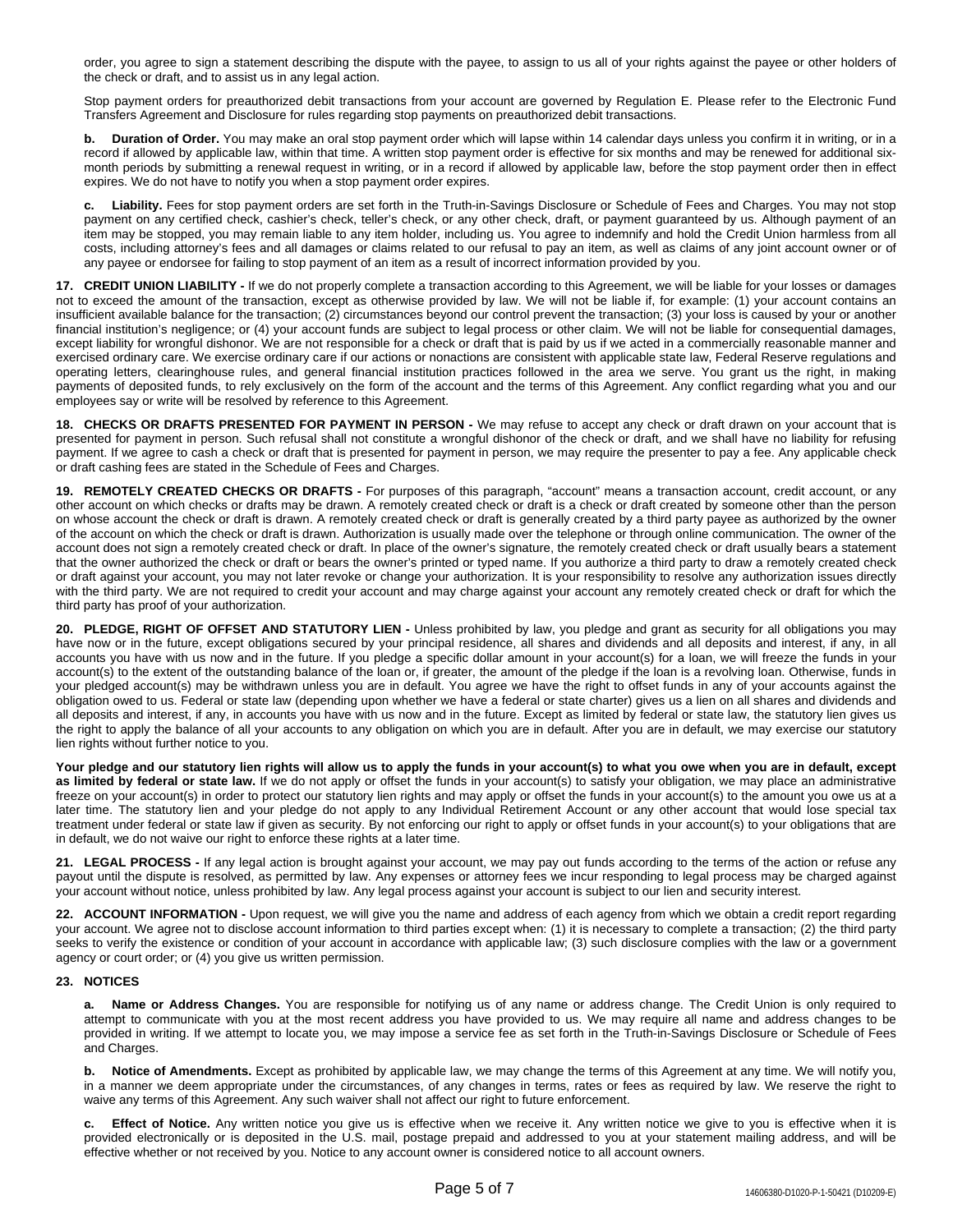order, you agree to sign a statement describing the dispute with the payee, to assign to us all of your rights against the payee or other holders of the check or draft, and to assist us in any legal action.

Stop payment orders for preauthorized debit transactions from your account are governed by Regulation E. Please refer to the Electronic Fund Transfers Agreement and Disclosure for rules regarding stop payments on preauthorized debit transactions.

**b. Duration of Order.** You may make an oral stop payment order which will lapse within 14 calendar days unless you confirm it in writing, or in a record if allowed by applicable law, within that time. A written stop payment order is effective for six months and may be renewed for additional sixmonth periods by submitting a renewal request in writing, or in a record if allowed by applicable law, before the stop payment order then in effect expires. We do not have to notify you when a stop payment order expires.

**c. Liability.** Fees for stop payment orders are set forth in the Truth-in-Savings Disclosure or Schedule of Fees and Charges. You may not stop payment on any certified check, cashier's check, teller's check, or any other check, draft, or payment guaranteed by us. Although payment of an item may be stopped, you may remain liable to any item holder, including us. You agree to indemnify and hold the Credit Union harmless from all costs, including attorney's fees and all damages or claims related to our refusal to pay an item, as well as claims of any joint account owner or of any payee or endorsee for failing to stop payment of an item as a result of incorrect information provided by you.

**17. CREDIT UNION LIABILITY -** If we do not properly complete a transaction according to this Agreement, we will be liable for your losses or damages not to exceed the amount of the transaction, except as otherwise provided by law. We will not be liable if, for example: (1) your account contains an insufficient available balance for the transaction; (2) circumstances beyond our control prevent the transaction; (3) your loss is caused by your or another financial institution's negligence; or (4) your account funds are subject to legal process or other claim. We will not be liable for consequential damages, except liability for wrongful dishonor. We are not responsible for a check or draft that is paid by us if we acted in a commercially reasonable manner and exercised ordinary care. We exercise ordinary care if our actions or nonactions are consistent with applicable state law, Federal Reserve regulations and operating letters, clearinghouse rules, and general financial institution practices followed in the area we serve. You grant us the right, in making payments of deposited funds, to rely exclusively on the form of the account and the terms of this Agreement. Any conflict regarding what you and our employees say or write will be resolved by reference to this Agreement.

**18. CHECKS OR DRAFTS PRESENTED FOR PAYMENT IN PERSON -** We may refuse to accept any check or draft drawn on your account that is presented for payment in person. Such refusal shall not constitute a wrongful dishonor of the check or draft, and we shall have no liability for refusing payment. If we agree to cash a check or draft that is presented for payment in person, we may require the presenter to pay a fee. Any applicable check or draft cashing fees are stated in the Schedule of Fees and Charges.

**19. REMOTELY CREATED CHECKS OR DRAFTS -** For purposes of this paragraph, "account" means a transaction account, credit account, or any other account on which checks or drafts may be drawn. A remotely created check or draft is a check or draft created by someone other than the person on whose account the check or draft is drawn. A remotely created check or draft is generally created by a third party payee as authorized by the owner of the account on which the check or draft is drawn. Authorization is usually made over the telephone or through online communication. The owner of the account does not sign a remotely created check or draft. In place of the owner's signature, the remotely created check or draft usually bears a statement that the owner authorized the check or draft or bears the owner's printed or typed name. If you authorize a third party to draw a remotely created check or draft against your account, you may not later revoke or change your authorization. It is your responsibility to resolve any authorization issues directly with the third party. We are not required to credit your account and may charge against your account any remotely created check or draft for which the third party has proof of your authorization.

**20. PLEDGE, RIGHT OF OFFSET AND STATUTORY LIEN -** Unless prohibited by law, you pledge and grant as security for all obligations you may have now or in the future, except obligations secured by your principal residence, all shares and dividends and all deposits and interest, if any, in all accounts you have with us now and in the future. If you pledge a specific dollar amount in your account(s) for a loan, we will freeze the funds in your account(s) to the extent of the outstanding balance of the loan or, if greater, the amount of the pledge if the loan is a revolving loan. Otherwise, funds in your pledged account(s) may be withdrawn unless you are in default. You agree we have the right to offset funds in any of your accounts against the obligation owed to us. Federal or state law (depending upon whether we have a federal or state charter) gives us a lien on all shares and dividends and all deposits and interest, if any, in accounts you have with us now and in the future. Except as limited by federal or state law, the statutory lien gives us the right to apply the balance of all your accounts to any obligation on which you are in default. After you are in default, we may exercise our statutory lien rights without further notice to you.

Your pledge and our statutory lien rights will allow us to apply the funds in your account(s) to what you owe when you are in default, except **as limited by federal or state law.** If we do not apply or offset the funds in your account(s) to satisfy your obligation, we may place an administrative freeze on your account(s) in order to protect our statutory lien rights and may apply or offset the funds in your account(s) to the amount you owe us at a later time. The statutory lien and your pledge do not apply to any Individual Retirement Account or any other account that would lose special tax treatment under federal or state law if given as security. By not enforcing our right to apply or offset funds in your account(s) to your obligations that are in default, we do not waive our right to enforce these rights at a later time.

**21. LEGAL PROCESS -** If any legal action is brought against your account, we may pay out funds according to the terms of the action or refuse any payout until the dispute is resolved, as permitted by law. Any expenses or attorney fees we incur responding to legal process may be charged against your account without notice, unless prohibited by law. Any legal process against your account is subject to our lien and security interest.

**22. ACCOUNT INFORMATION -** Upon request, we will give you the name and address of each agency from which we obtain a credit report regarding your account. We agree not to disclose account information to third parties except when: (1) it is necessary to complete a transaction; (2) the third party seeks to verify the existence or condition of your account in accordance with applicable law; (3) such disclosure complies with the law or a government agency or court order; or (4) you give us written permission.

### **23. NOTICES**

**a. Name or Address Changes.** You are responsible for notifying us of any name or address change. The Credit Union is only required to attempt to communicate with you at the most recent address you have provided to us. We may require all name and address changes to be provided in writing. If we attempt to locate you, we may impose a service fee as set forth in the Truth-in-Savings Disclosure or Schedule of Fees and Charges.

**b. Notice of Amendments.** Except as prohibited by applicable law, we may change the terms of this Agreement at any time. We will notify you, in a manner we deem appropriate under the circumstances, of any changes in terms, rates or fees as required by law. We reserve the right to waive any terms of this Agreement. Any such waiver shall not affect our right to future enforcement.

**c. Effect of Notice.** Any written notice you give us is effective when we receive it. Any written notice we give to you is effective when it is provided electronically or is deposited in the U.S. mail, postage prepaid and addressed to you at your statement mailing address, and will be effective whether or not received by you. Notice to any account owner is considered notice to all account owners.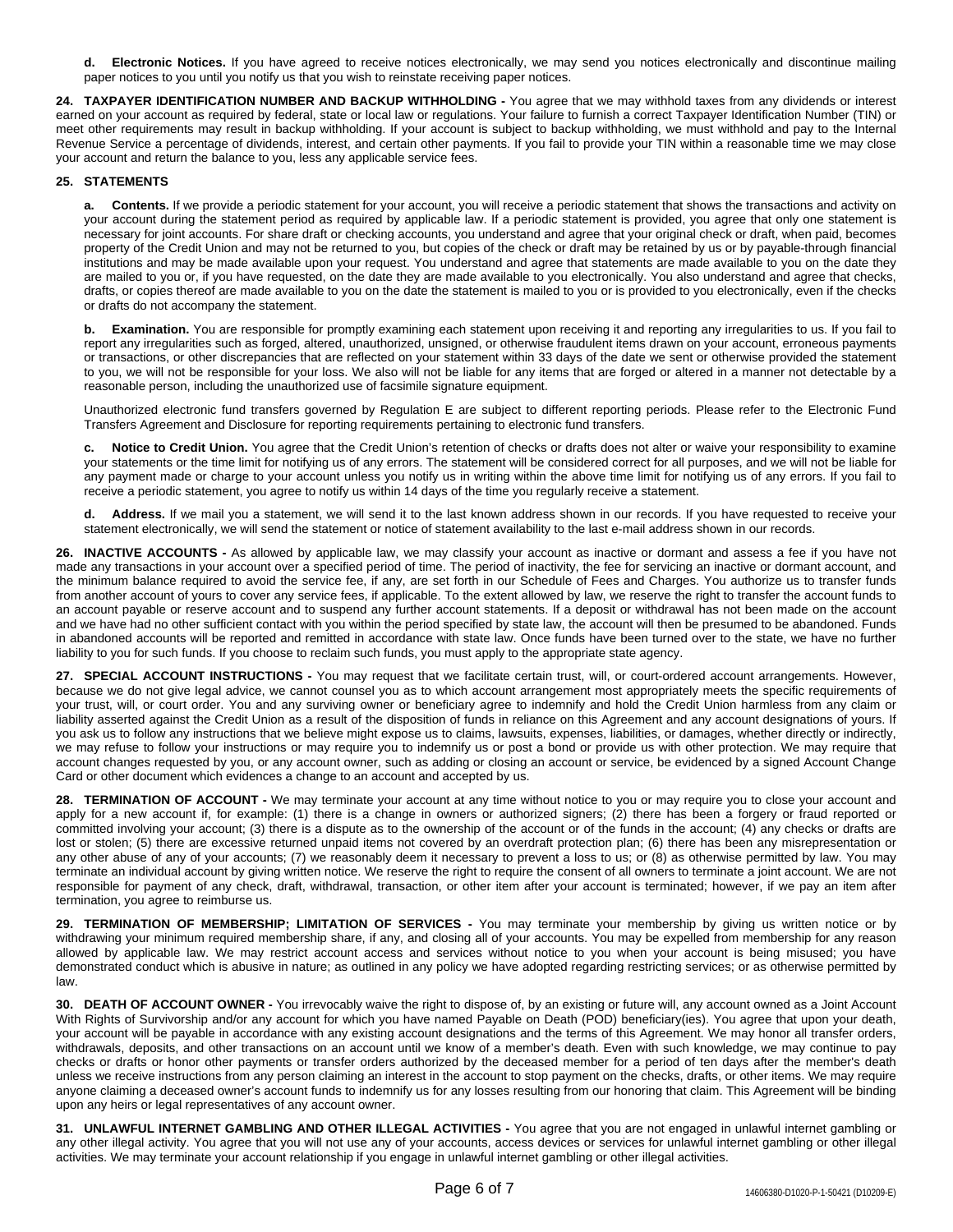**d. Electronic Notices.** If you have agreed to receive notices electronically, we may send you notices electronically and discontinue mailing paper notices to you until you notify us that you wish to reinstate receiving paper notices.

**24. TAXPAYER IDENTIFICATION NUMBER AND BACKUP WITHHOLDING -** You agree that we may withhold taxes from any dividends or interest earned on your account as required by federal, state or local law or regulations. Your failure to furnish a correct Taxpayer Identification Number (TIN) or meet other requirements may result in backup withholding. If your account is subject to backup withholding, we must withhold and pay to the Internal Revenue Service a percentage of dividends, interest, and certain other payments. If you fail to provide your TIN within a reasonable time we may close your account and return the balance to you, less any applicable service fees.

## **25. STATEMENTS**

**a. Contents.** If we provide a periodic statement for your account, you will receive a periodic statement that shows the transactions and activity on your account during the statement period as required by applicable law. If a periodic statement is provided, you agree that only one statement is necessary for joint accounts. For share draft or checking accounts, you understand and agree that your original check or draft, when paid, becomes property of the Credit Union and may not be returned to you, but copies of the check or draft may be retained by us or by payable-through financial institutions and may be made available upon your request. You understand and agree that statements are made available to you on the date they are mailed to you or, if you have requested, on the date they are made available to you electronically. You also understand and agree that checks, drafts, or copies thereof are made available to you on the date the statement is mailed to you or is provided to you electronically, even if the checks or drafts do not accompany the statement.

**b. Examination.** You are responsible for promptly examining each statement upon receiving it and reporting any irregularities to us. If you fail to report any irregularities such as forged, altered, unauthorized, unsigned, or otherwise fraudulent items drawn on your account, erroneous payments or transactions, or other discrepancies that are reflected on your statement within 33 days of the date we sent or otherwise provided the statement to you, we will not be responsible for your loss. We also will not be liable for any items that are forged or altered in a manner not detectable by a reasonable person, including the unauthorized use of facsimile signature equipment.

Unauthorized electronic fund transfers governed by Regulation E are subject to different reporting periods. Please refer to the Electronic Fund Transfers Agreement and Disclosure for reporting requirements pertaining to electronic fund transfers.

**c. Notice to Credit Union.** You agree that the Credit Union's retention of checks or drafts does not alter or waive your responsibility to examine your statements or the time limit for notifying us of any errors. The statement will be considered correct for all purposes, and we will not be liable for any payment made or charge to your account unless you notify us in writing within the above time limit for notifying us of any errors. If you fail to receive a periodic statement, you agree to notify us within 14 days of the time you regularly receive a statement.

**d. Address.** If we mail you a statement, we will send it to the last known address shown in our records. If you have requested to receive your statement electronically, we will send the statement or notice of statement availability to the last e-mail address shown in our records.

**26. INACTIVE ACCOUNTS -** As allowed by applicable law, we may classify your account as inactive or dormant and assess a fee if you have not made any transactions in your account over a specified period of time. The period of inactivity, the fee for servicing an inactive or dormant account, and the minimum balance required to avoid the service fee, if any, are set forth in our Schedule of Fees and Charges. You authorize us to transfer funds from another account of yours to cover any service fees, if applicable. To the extent allowed by law, we reserve the right to transfer the account funds to an account payable or reserve account and to suspend any further account statements. If a deposit or withdrawal has not been made on the account and we have had no other sufficient contact with you within the period specified by state law, the account will then be presumed to be abandoned. Funds in abandoned accounts will be reported and remitted in accordance with state law. Once funds have been turned over to the state, we have no further liability to you for such funds. If you choose to reclaim such funds, you must apply to the appropriate state agency.

**27. SPECIAL ACCOUNT INSTRUCTIONS -** You may request that we facilitate certain trust, will, or court-ordered account arrangements. However, because we do not give legal advice, we cannot counsel you as to which account arrangement most appropriately meets the specific requirements of your trust, will, or court order. You and any surviving owner or beneficiary agree to indemnify and hold the Credit Union harmless from any claim or liability asserted against the Credit Union as a result of the disposition of funds in reliance on this Agreement and any account designations of yours. If you ask us to follow any instructions that we believe might expose us to claims, lawsuits, expenses, liabilities, or damages, whether directly or indirectly, we may refuse to follow your instructions or may require you to indemnify us or post a bond or provide us with other protection. We may require that account changes requested by you, or any account owner, such as adding or closing an account or service, be evidenced by a signed Account Change Card or other document which evidences a change to an account and accepted by us.

**28. TERMINATION OF ACCOUNT -** We may terminate your account at any time without notice to you or may require you to close your account and apply for a new account if, for example: (1) there is a change in owners or authorized signers; (2) there has been a forgery or fraud reported or committed involving your account; (3) there is a dispute as to the ownership of the account or of the funds in the account; (4) any checks or drafts are lost or stolen; (5) there are excessive returned unpaid items not covered by an overdraft protection plan; (6) there has been any misrepresentation or any other abuse of any of your accounts; (7) we reasonably deem it necessary to prevent a loss to us; or (8) as otherwise permitted by law. You may terminate an individual account by giving written notice. We reserve the right to require the consent of all owners to terminate a joint account. We are not responsible for payment of any check, draft, withdrawal, transaction, or other item after your account is terminated; however, if we pay an item after termination, you agree to reimburse us.

**29. TERMINATION OF MEMBERSHIP; LIMITATION OF SERVICES -** You may terminate your membership by giving us written notice or by withdrawing your minimum required membership share, if any, and closing all of your accounts. You may be expelled from membership for any reason allowed by applicable law. We may restrict account access and services without notice to you when your account is being misused; you have demonstrated conduct which is abusive in nature; as outlined in any policy we have adopted regarding restricting services; or as otherwise permitted by law.

**30. DEATH OF ACCOUNT OWNER -** You irrevocably waive the right to dispose of, by an existing or future will, any account owned as a Joint Account With Rights of Survivorship and/or any account for which you have named Payable on Death (POD) beneficiary(ies). You agree that upon your death, your account will be payable in accordance with any existing account designations and the terms of this Agreement. We may honor all transfer orders, withdrawals, deposits, and other transactions on an account until we know of a member's death. Even with such knowledge, we may continue to pay checks or drafts or honor other payments or transfer orders authorized by the deceased member for a period of ten days after the member's death unless we receive instructions from any person claiming an interest in the account to stop payment on the checks, drafts, or other items. We may require anyone claiming a deceased owner's account funds to indemnify us for any losses resulting from our honoring that claim. This Agreement will be binding upon any heirs or legal representatives of any account owner.

**31. UNLAWFUL INTERNET GAMBLING AND OTHER ILLEGAL ACTIVITIES -** You agree that you are not engaged in unlawful internet gambling or any other illegal activity. You agree that you will not use any of your accounts, access devices or services for unlawful internet gambling or other illegal activities. We may terminate your account relationship if you engage in unlawful internet gambling or other illegal activities.